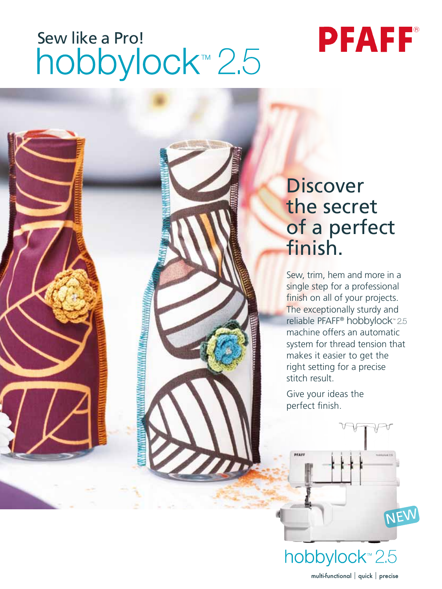# Sew like a Pro!<br>hobbylock™ 2.5



## **Discover** the secret of a perfect finish.

Sew, trim, hem and more in a single step for a professional finish on all of your projects. The exceptionally sturdy and reliable PFAFF<sup>®</sup> hobbylock<sup>™</sup> 2.5 machine offers an automatic system for thread tension that makes it easier to get the right setting for a precise stitch result.

Give your ideas the perfect finish.

hobbylock<sup>™</sup>2.5 multi-functional | quick | precise

NEW